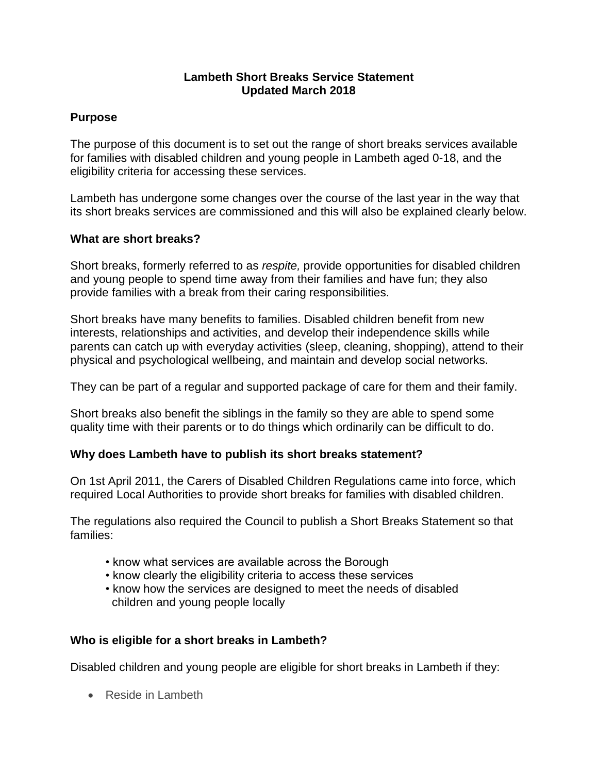## **Lambeth Short Breaks Service Statement Updated March 2018**

# **Purpose**

The purpose of this document is to set out the range of short breaks services available for families with disabled children and young people in Lambeth aged 0-18, and the eligibility criteria for accessing these services.

Lambeth has undergone some changes over the course of the last year in the way that its short breaks services are commissioned and this will also be explained clearly below.

## **What are short breaks?**

Short breaks, formerly referred to as *respite,* provide opportunities for disabled children and young people to spend time away from their families and have fun; they also provide families with a break from their caring responsibilities.

Short breaks have many benefits to families. Disabled children benefit from new interests, relationships and activities, and develop their independence skills while parents can catch up with everyday activities (sleep, cleaning, shopping), attend to their physical and psychological wellbeing, and maintain and develop social networks.

They can be part of a regular and supported package of care for them and their family.

Short breaks also benefit the siblings in the family so they are able to spend some quality time with their parents or to do things which ordinarily can be difficult to do.

## **Why does Lambeth have to publish its short breaks statement?**

On 1st April 2011, the Carers of Disabled Children Regulations came into force, which required Local Authorities to provide short breaks for families with disabled children.

The regulations also required the Council to publish a Short Breaks Statement so that families:

- know what services are available across the Borough
- know clearly the eligibility criteria to access these services
- know how the services are designed to meet the needs of disabled children and young people locally

# **Who is eligible for a short breaks in Lambeth?**

Disabled children and young people are eligible for short breaks in Lambeth if they:

• Reside in Lambeth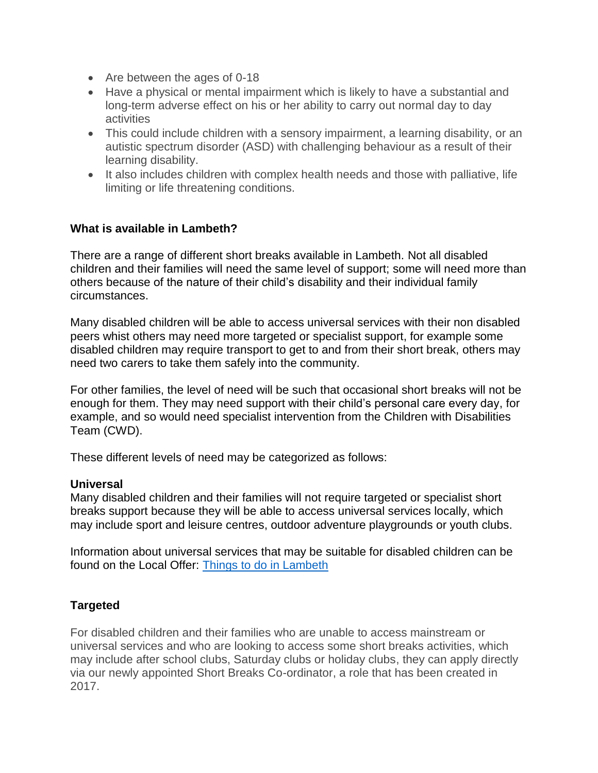- Are between the ages of 0-18
- Have a physical or mental impairment which is likely to have a substantial and long-term adverse effect on his or her ability to carry out normal day to day activities
- This could include children with a sensory impairment, a learning disability, or an autistic spectrum disorder (ASD) with challenging behaviour as a result of their learning disability.
- It also includes children with complex health needs and those with palliative, life limiting or life threatening conditions.

# **What is available in Lambeth?**

There are a range of different short breaks available in Lambeth. Not all disabled children and their families will need the same level of support; some will need more than others because of the nature of their child's disability and their individual family circumstances.

Many disabled children will be able to access universal services with their non disabled peers whist others may need more targeted or specialist support, for example some disabled children may require transport to get to and from their short break, others may need two carers to take them safely into the community.

For other families, the level of need will be such that occasional short breaks will not be enough for them. They may need support with their child's personal care every day, for example, and so would need specialist intervention from the Children with Disabilities Team (CWD).

These different levels of need may be categorized as follows:

#### **Universal**

Many disabled children and their families will not require targeted or specialist short breaks support because they will be able to access universal services locally, which may include sport and leisure centres, outdoor adventure playgrounds or youth clubs.

Information about universal services that may be suitable for disabled children can be found on the Local Offer: [Things to do in Lambeth](https://www.lambeth.gov.uk/send-local-offer/life-and-leisure/things-to-do-in-lambeth)

## **Targeted**

For disabled children and their families who are unable to access mainstream or universal services and who are looking to access some short breaks activities, which may include after school clubs, Saturday clubs or holiday clubs, they can apply directly via our newly appointed Short Breaks Co-ordinator, a role that has been created in 2017.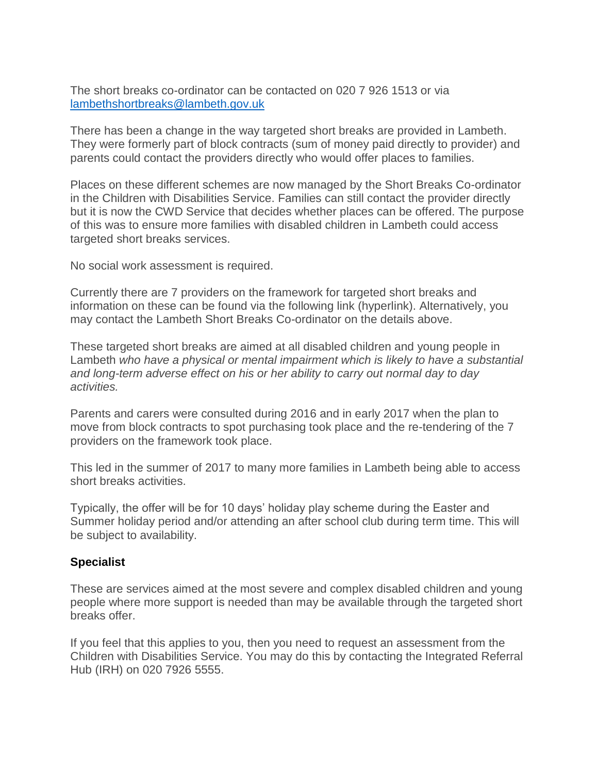The short breaks co-ordinator can be contacted on 020 7 926 1513 or via [lambethshortbreaks@lambeth.gov.uk](mailto:lambethshortbreaks@lambeth.gov.uk)

There has been a change in the way targeted short breaks are provided in Lambeth. They were formerly part of block contracts (sum of money paid directly to provider) and parents could contact the providers directly who would offer places to families.

Places on these different schemes are now managed by the Short Breaks Co-ordinator in the Children with Disabilities Service. Families can still contact the provider directly but it is now the CWD Service that decides whether places can be offered. The purpose of this was to ensure more families with disabled children in Lambeth could access targeted short breaks services.

No social work assessment is required.

Currently there are 7 providers on the framework for targeted short breaks and information on these can be found via the following link (hyperlink). Alternatively, you may contact the Lambeth Short Breaks Co-ordinator on the details above.

These targeted short breaks are aimed at all disabled children and young people in Lambeth *who have a physical or mental impairment which is likely to have a substantial and long-term adverse effect on his or her ability to carry out normal day to day activities.* 

Parents and carers were consulted during 2016 and in early 2017 when the plan to move from block contracts to spot purchasing took place and the re-tendering of the 7 providers on the framework took place.

This led in the summer of 2017 to many more families in Lambeth being able to access short breaks activities.

Typically, the offer will be for 10 days' holiday play scheme during the Easter and Summer holiday period and/or attending an after school club during term time. This will be subject to availability.

## **Specialist**

These are services aimed at the most severe and complex disabled children and young people where more support is needed than may be available through the targeted short breaks offer.

If you feel that this applies to you, then you need to request an assessment from the Children with Disabilities Service. You may do this by contacting the Integrated Referral Hub (IRH) on 020 7926 5555.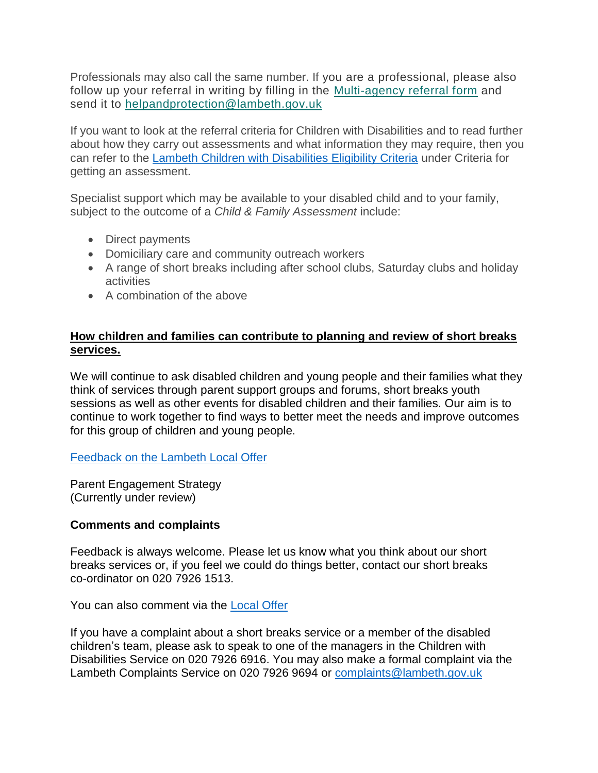Professionals may also call the same number. If you are a professional, please also follow up your referral in writing by filling in the [Multi-agency referral form](https://www.lambeth.gov.uk/sites/default/files/cyp-lambeth-mar-form.docx) and send it to [helpandprotection@lambeth.gov.uk](mailto:helpandprotection@lambeth.gov.uk)

If you want to look at the referral criteria for Children with Disabilities and to read further about how they carry out assessments and what information they may require, then you can refer to the [Lambeth Children with Disabilities Eligibility Criteria](https://www.lambeth.gov.uk/send-local-offer/social-care/children-with-disabilities) under Criteria for getting an assessment.

Specialist support which may be available to your disabled child and to your family, subject to the outcome of a *Child & Family Assessment* include:

- Direct payments
- Domiciliary care and community outreach workers
- A range of short breaks including after school clubs, Saturday clubs and holiday activities
- A combination of the above

## **How children and families can contribute to planning and review of short breaks services.**

We will continue to ask disabled children and young people and their families what they think of services through parent support groups and forums, short breaks youth sessions as well as other events for disabled children and their families. Our aim is to continue to work together to find ways to better meet the needs and improve outcomes for this group of children and young people.

[Feedback on the Lambeth Local Offer](http://mosaic.lambeth.gov.uk:7003/molive/frameset.jsp?mainFrameHref=/molive/controller/subject/PER214071%3FnoWorkViewRefresh%3Dtrue&leftFrameHref=/molive/controller/workview/%3FworkViewState%3DCOMPACT%26currentWorkSegmentIndex%3D2)

Parent Engagement Strategy (Currently under review)

## **Comments and complaints**

Feedback is always welcome. Please let us know what you think about our short breaks services or, if you feel we could do things better, contact our short breaks co-ordinator on 020 7926 1513.

You can also comment via the **Local Offer** 

If you have a complaint about a short breaks service or a member of the disabled children's team, please ask to speak to one of the managers in the Children with Disabilities Service on 020 7926 6916. You may also make a formal complaint via the Lambeth Complaints Service on 020 7926 9694 or [complaints@lambeth.gov.uk](mailto:complaints@lambeth.gov.uk)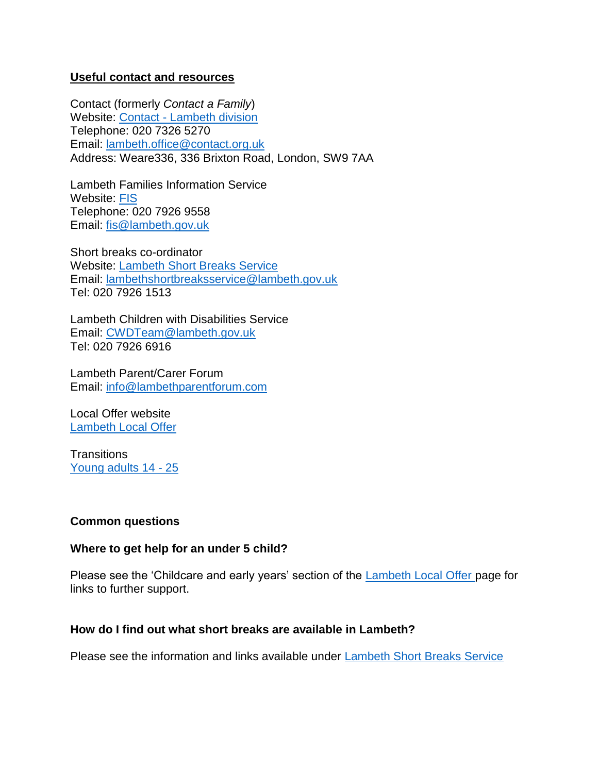#### **Useful contact and resources**

Contact (formerly *Contact a Family*) Website: Contact - [Lambeth division](https://contact.org.uk/advice-and-support/local-support-services/contact-in-your-area/offices/lambeth/?s=&t=rg&r=1277) Telephone: 020 7326 5270 Email: [lambeth.office@contact.org.uk](mailto:lambeth.office@contact.org.uk) Address: Weare336, 336 Brixton Road, London, SW9 7AA

Lambeth Families Information Service Website: [FIS](https://www.lambeth.gov.uk/children-young-people-and-families/families-information-service) Telephone: 020 7926 9558 Email: [fis@lambeth.gov.uk](mailto:fis@lambeth.gov.uk)

Short breaks co-ordinator Website: [Lambeth Short Breaks Service](https://www.lambeth.gov.uk/send-local-offer/social-care/short-breaks-for-disabled-children) Email: [lambethshortbreaksservice@lambeth.gov.uk](mailto:lambethshortbreaksservice@lambeth.gov.uk) Tel: 020 7926 1513

Lambeth Children with Disabilities Service Email: [CWDTeam@lambeth.gov.uk](mailto:CWDTeam@lambeth.gov.uk) Tel: 020 7926 6916

Lambeth Parent/Carer Forum Email: [info@lambethparentforum.com](mailto:info@lambethparentforum.com)

Local Offer website [Lambeth Local Offer](https://www.lambeth.gov.uk/send-local-offer)

**Transitions** [Young adults 14 -](https://www.lambeth.gov.uk/send-local-offer/young-adults-14-to-25/how-our-help-from-social-care-changes-at-18) 25

## **Common questions**

#### **Where to get help for an under 5 child?**

Please see the 'Childcare and early years' section of the [Lambeth Local Offer](https://www.lambeth.gov.uk/send-local-offer) page for links to further support.

#### **How do I find out what short breaks are available in Lambeth?**

Please see the information and links available under [Lambeth Short Breaks Service](https://www.lambeth.gov.uk/send-local-offer/social-care/short-breaks-for-disabled-children)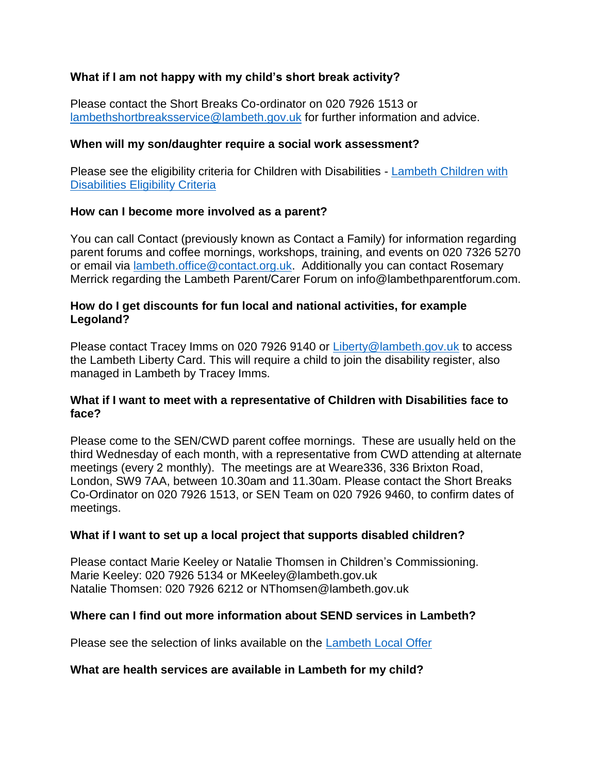# **What if I am not happy with my child's short break activity?**

Please contact the Short Breaks Co-ordinator on 020 7926 1513 or [lambethshortbreaksservice@lambeth.gov.uk](mailto:lambethshortbreaksservice@lambeth.gov.uk) for further information and advice.

## **When will my son/daughter require a social work assessment?**

Please see the eligibility criteria for Children with Disabilities - Lambeth Children with [Disabilities Eligibility Criteria](https://www.lambeth.gov.uk/send-local-offer/social-care/children-with-disabilities)

#### **How can I become more involved as a parent?**

You can call Contact (previously known as Contact a Family) for information regarding parent forums and coffee mornings, workshops, training, and events on 020 7326 5270 or email via [lambeth.office@contact.org.uk.](mailto:lambeth.office@contact.org.uk) Additionally you can contact Rosemary Merrick regarding the Lambeth Parent/Carer Forum on info@lambethparentforum.com.

#### **How do I get discounts for fun local and national activities, for example Legoland?**

Please contact Tracey Imms on 020 7926 9140 or [Liberty@lambeth.gov.uk](mailto:Liberty@lambeth.gov.uk) to access the Lambeth Liberty Card. This will require a child to join the disability register, also managed in Lambeth by Tracey Imms.

#### **What if I want to meet with a representative of Children with Disabilities face to face?**

Please come to the SEN/CWD parent coffee mornings. These are usually held on the third Wednesday of each month, with a representative from CWD attending at alternate meetings (every 2 monthly). The meetings are at Weare336, 336 Brixton Road, London, SW9 7AA, between 10.30am and 11.30am. Please contact the Short Breaks Co-Ordinator on 020 7926 1513, or SEN Team on 020 7926 9460, to confirm dates of meetings.

## **What if I want to set up a local project that supports disabled children?**

Please contact Marie Keeley or Natalie Thomsen in Children's Commissioning. Marie Keeley: 020 7926 5134 or MKeeley@lambeth.gov.uk Natalie Thomsen: 020 7926 6212 or NThomsen@lambeth.gov.uk

## **Where can I find out more information about SEND services in Lambeth?**

Please see the selection of links available on the [Lambeth Local Offer](https://www.lambeth.gov.uk/send-local-offer)

## **What are health services are available in Lambeth for my child?**